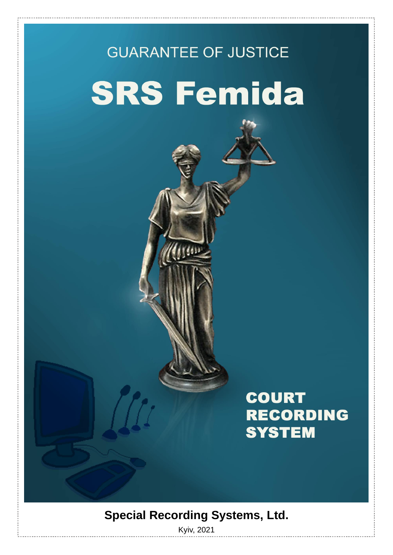# **GUARANTEE OF JUSTICE SRS Femida**

**Ursun** 

## **COURT RECORDING SYSTEM**

### **Special Recording Systems, Ltd.**

Kyiv, 2021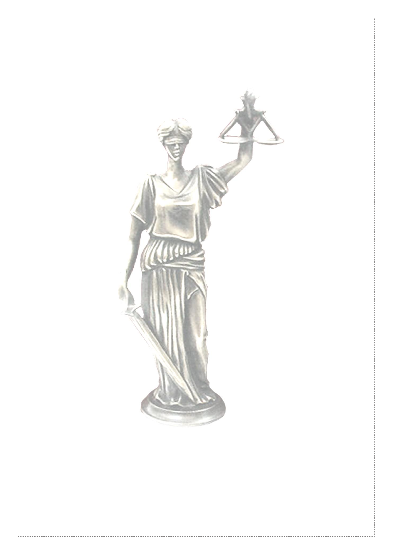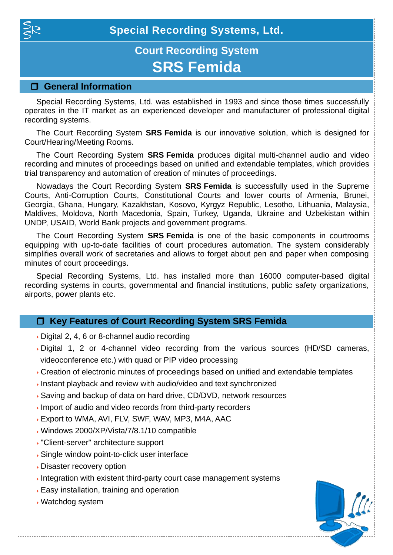

## **Court Recording System SRS Femida**

#### **General Information**

Special Recording Systems, Ltd. was established in 1993 and since those times successfully operates in the IT market as an experienced developer and manufacturer of professional digital recording systems.

The Court Recording System **SRS Femida** is our innovative solution, which is designed for Court/Hearing/Meeting Rooms.

The Court Recording System **SRS Femida** produces digital multi-channel audio and video recording and minutes of proceedings based on unified and extendable templates, which provides trial transparency and automation of creation of minutes of proceedings.

Nowadays the Court Recording System **SRS Femida** is successfully used in the Supreme Courts, Anti-Corruption Courts, Constitutional Courts and lower courts of Armenia, Brunei, Georgia, Ghana, Hungary, Kazakhstan, Kosovo, Kyrgyz Republic, Lesotho, Lithuania, Malaysia, Maldives, Moldova, North Macedonia, Spain, Turkey, Uganda, Ukraine and Uzbekistan within UNDP, USAID, World Bank projects and government programs.

The Court Recording System **SRS Femida** is one of the basic components in courtrooms equipping with up-to-date facilities of court procedures automation. The system considerably simplifies overall work of secretaries and allows to forget about pen and paper when composing minutes of court proceedings.

Special Recording Systems, Ltd. has installed more than 16000 computer-based digital recording systems in courts, governmental and financial institutions, public safety organizations, airports, power plants etc.

#### **Key Features of Court Recording System SRS Femida**

- Digital 2, 4, 6 or 8-channel audio recording
- Digital 1, 2 or 4-channel video recording from the various sources (HD/SD cameras, videoconference etc.) with quad or PIP video processing
- Creation of electronic minutes of proceedings based on unified and extendable templates
- Instant playback and review with audio/video and text synchronized
- Saving and backup of data on hard drive, CD/DVD, network resources
- Import of audio and video records from third-party recorders
- Export to WMA, AVI, FLV, SWF, WAV, MP3, M4A, AAC
- Windows 2000/XP/Vista/7/8.1/10 compatible
- "Client-server" architecture support
- Single window point-to-click user interface
- Disaster recovery option
- Integration with existent third-party court case management systems
- Easy installation, training and operation
- Watchdog system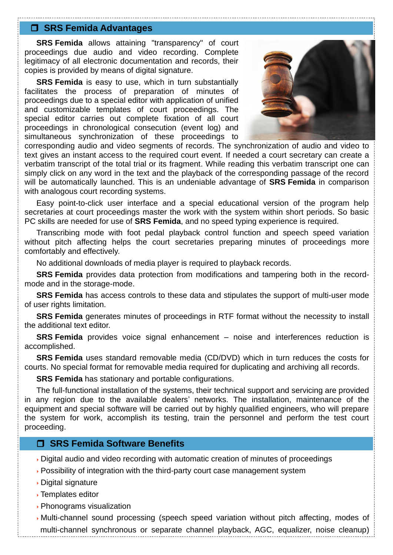#### **SRS Femida Advantages**

**SRS Femida** allows attaining "transparency" of court proceedings due audio and video recording. Complete legitimacy of all electronic documentation and records, their copies is provided by means of digital signature.

**SRS Femida** is easy to use, which in turn substantially facilitates the process of preparation of minutes of proceedings due to a special editor with application of unified and customizable templates of court proceedings. The special editor carries out complete fixation of all court proceedings in chronological consecution (event log) and simultaneous synchronization of these proceedings to



corresponding audio and video segments of records. The synchronization of audio and video to text gives an instant access to the required court event. If needed a court secretary can create a verbatim transcript of the total trial or its fragment. While reading this verbatim transcript one can simply click on any word in the text and the playback of the corresponding passage of the record will be automatically launched. This is an undeniable advantage of **SRS Femida** in comparison with analogous court recording systems.

Easy point-to-click user interface and a special educational version of the program help secretaries at court proceedings master the work with the system within short periods. So basic PC skills are needed for use of **SRS Femida**, and no speed typing experience is required.

Transcribing mode with foot pedal playback control function and speech speed variation without pitch affecting helps the court secretaries preparing minutes of proceedings more comfortably and effectively.

No additional downloads of media player is required to playback records.

**SRS Femida** provides data protection from modifications and tampering both in the recordmode and in the storage-mode.

**SRS Femida** has access controls to these data and stipulates the support of multi-user mode of user rights limitation.

**SRS Femida** generates minutes of proceedings in RTF format without the necessity to install the additional text editor.

**SRS Femida** provides voice signal enhancement – noise and interferences reduction is accomplished.

**SRS Femida** uses standard removable media (CD/DVD) which in turn reduces the costs for courts. No special format for removable media required for duplicating and archiving all records.

**SRS Femida** has stationary and portable configurations.

The full-functional installation of the systems, their technical support and servicing are provided in any region due to the available dealers' networks. The installation, maintenance of the equipment and special software will be carried out by highly qualified engineers, who will prepare the system for work, accomplish its testing, train the personnel and perform the test court proceeding.

#### **SRS Femida Software Benefits**

- Digital audio and video recording with automatic creation of minutes of proceedings
- Possibility of integration with the third-party court case management system
- Digital signature
- Templates editor
- Phonograms visualization
- Multi-channel sound processing (speech speed variation without pitch affecting, modes of multi-channel synchronous or separate channel playback, AGC, equalizer, noise cleanup)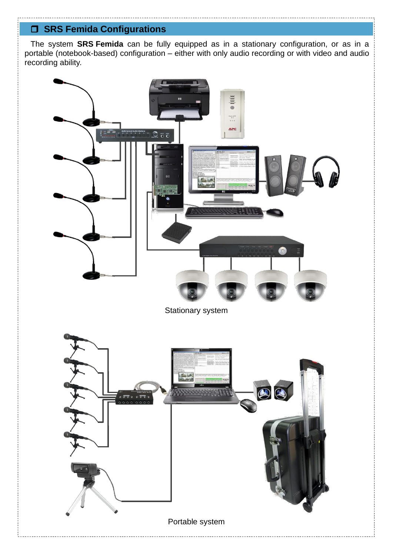#### **SRS Femida Configurations**

The system **SRS Femida** can be fully equipped as in a stationary configuration, or as in a portable (notebook-based) configuration – either with only audio recording or with video and audio recording ability.

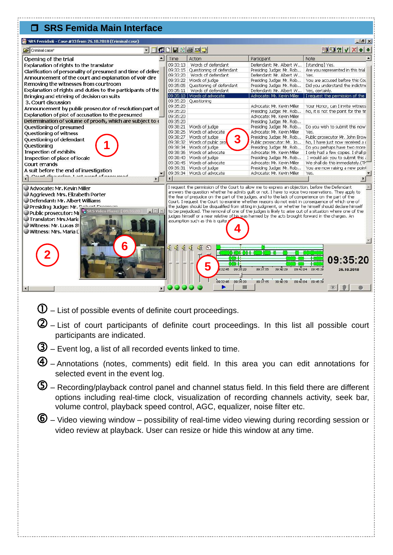#### **SRS Femida Main Interface**

| $-10x$<br>/ SRS Femida® - Case #33 from 26.10.2018 (Criminal case)        |                                                                                                                                                                                                        |                                                                                                      |                                                       |                                                                  |
|---------------------------------------------------------------------------|--------------------------------------------------------------------------------------------------------------------------------------------------------------------------------------------------------|------------------------------------------------------------------------------------------------------|-------------------------------------------------------|------------------------------------------------------------------|
| $997/77+$<br>TECHNAP<br>Criminal case*                                    |                                                                                                                                                                                                        |                                                                                                      |                                                       |                                                                  |
| Opening of the trial                                                      | Time                                                                                                                                                                                                   | <b>Action</b>                                                                                        | Participant                                           | Note                                                             |
| Explanation of rights to the translator                                   | 09:33:13                                                                                                                                                                                               | Words of defendant                                                                                   | Defendant: Mr. Albert W                               | [standing] Yes.                                                  |
| Clarification of personality of presumed and time of delive               |                                                                                                                                                                                                        | 09:33:15 Questioning of defendant                                                                    | Presidina Judge: Mr. Rob                              | Are you represented in this trial                                |
| Announcement of the court and explanation of voir dire                    | 09:33:20                                                                                                                                                                                               | Words of defendant                                                                                   | Defendant: Mr. Albert W                               | Yes.                                                             |
| Removing the witnesses from courtroom                                     |                                                                                                                                                                                                        | 09:33:22 Words of judge                                                                              | Presiding Judge: Mr. Rob                              | You are accused before this Cou                                  |
| Explanation of rights and duties to the participants of the               | 09:35:11                                                                                                                                                                                               | 09:35:05 Ouestioning of defendant<br>Words of defendant                                              | Presiding Judge: Mr. Rob<br>Defendant: Mr. Albert W   | Did you understand the indictme                                  |
|                                                                           |                                                                                                                                                                                                        | 09:35:18   Words of advocate                                                                         | Advocate: Mr. Kevin Miller                            | Yes, certainly.<br>I request the permission of the               |
| Bringing and etrieing of decision on suits                                |                                                                                                                                                                                                        | 09:35:20 Ouestioning                                                                                 |                                                       |                                                                  |
| 3. Court discussion                                                       | 09:35:20                                                                                                                                                                                               |                                                                                                      | Advocate: Mr. Kevin Miller                            | Your Honor, can I invite witness                                 |
| Announcement by public prosecutor of resolution part of                   | 09:35:20                                                                                                                                                                                               |                                                                                                      | Presiding Judge: Mr. Rob                              | No, it is not the point for the tir                              |
| Explanation of plot of accusation to the presumed                         | 09:35:20                                                                                                                                                                                               |                                                                                                      | Advocate: Mr. Kevin Miller                            |                                                                  |
| Determination of volume of proofs, which are subject to a                 | 09:35:20                                                                                                                                                                                               |                                                                                                      | Presiding Judge: Mr. Rob                              |                                                                  |
| Questioning of presumed                                                   |                                                                                                                                                                                                        | 09:38:21 Words of judge                                                                              | Presiding Judge: Mr. Rob                              | Do you wish to submit this now!                                  |
| Questioning of witness                                                    |                                                                                                                                                                                                        | 09:38:26 Words of advocate                                                                           | Advocate: Mr. Kevin Miller                            | Yes.                                                             |
| Questioning of defendant                                                  |                                                                                                                                                                                                        | 09:38:27 Words of judge                                                                              | Presiding Judge: Mr. Rob                              | Public prosecutor Mr. John Brow                                  |
| Questioning                                                               |                                                                                                                                                                                                        | 09:38:32 Words of public pros<br>09:38:34 Words of judge                                             | Public prosecutor: Mr. Jo<br>Presiding Judge: Mr. Rob | No, I have just now received a d<br>Do you perhaps have two more |
| <b>Inspection of exhibits</b>                                             |                                                                                                                                                                                                        | 09:38:36 Words of advocate                                                                           | Advocate: Mr. Kevin Miller                            | I only had a few copies. I shall p                               |
| Inspection of place of locale                                             |                                                                                                                                                                                                        | 09:38:40 Words of judge                                                                              | Presiding Judge: Mr. Rob                              | I would ask you to submit this                                   |
| Court errands                                                             |                                                                                                                                                                                                        | 09:38:45 Words of advocate                                                                           | Advocate: Mr. Kevin Miller                            | We shall do this immediately. (Th                                |
| A suit before the end of investigation                                    |                                                                                                                                                                                                        | 09:39:31 Words of judge                                                                              | Presiding Judge: Mr. Rob                              | You are now raising a new point                                  |
| Count discussion I get would af nuncumaal                                 |                                                                                                                                                                                                        | 09:39:34 Words of advocate                                                                           | Advocate: Mr. Kevin Miller                            | Yes.                                                             |
| $\mathbf{E}$                                                              | $\left  \right $                                                                                                                                                                                       |                                                                                                      |                                                       |                                                                  |
| Advocate: Mr. Kevin Miller                                                |                                                                                                                                                                                                        | I request the permission of the Court to allow me to express an objection, before the Defendant      |                                                       |                                                                  |
| Aggrieved: Mrs. Elizabeth Porter                                          |                                                                                                                                                                                                        | answers the question whether he admits quilt or not. I have to voice two reservations. They apply to |                                                       |                                                                  |
| Defendant: Mr. Albert Williams                                            | the fear of prejudice on the part of the judges, and to the lack of competence on the part of the<br>Court, I request the Court to examine whether reasons do not exist in consequence of which one of |                                                                                                      |                                                       |                                                                  |
| <b>Presiding Judge: Mr. Behaut Excompre</b>                               | the judges should be disgualified from sitting in judgment, or whether he himself should declare himself                                                                                               |                                                                                                      |                                                       |                                                                  |
| $ \Box$ $\times$<br>O Public prosecutor: MI & SRS Video Player [ 09:35:20 | to be prejudiced. The removal of one of the judges is likely to arise out of a situation where one of the                                                                                              |                                                                                                      |                                                       |                                                                  |
| Translator: Mrs.Maria                                                     |                                                                                                                                                                                                        | judges himself or a near relative of his was harmed by the acts brought forward in the charges. An   |                                                       |                                                                  |
| Witness: Mr. Lucas St                                                     |                                                                                                                                                                                                        | assumption such as this is quite                                                                     |                                                       |                                                                  |
| Witness: Mrs. Maria D                                                     |                                                                                                                                                                                                        |                                                                                                      |                                                       |                                                                  |
|                                                                           |                                                                                                                                                                                                        |                                                                                                      |                                                       |                                                                  |
|                                                                           |                                                                                                                                                                                                        |                                                                                                      |                                                       |                                                                  |
| 6                                                                         | ∢<br>∢                                                                                                                                                                                                 | ∢<br>Æ<br>$\mathcal{C}$                                                                              |                                                       |                                                                  |
|                                                                           |                                                                                                                                                                                                        |                                                                                                      |                                                       |                                                                  |
|                                                                           |                                                                                                                                                                                                        |                                                                                                      |                                                       | 09:35:20                                                         |
|                                                                           |                                                                                                                                                                                                        | 5                                                                                                    |                                                       |                                                                  |
|                                                                           |                                                                                                                                                                                                        | 09:35:20<br>32:45                                                                                    | 09:37:55<br>09:40:29<br>09:43:04                      | 09:45:39<br>26.10.2018                                           |
|                                                                           |                                                                                                                                                                                                        |                                                                                                      |                                                       |                                                                  |
|                                                                           |                                                                                                                                                                                                        | 09:35:20<br>09:32:45                                                                                 | 09:37:55 09:40:29 09:43:04 09:45:39                   |                                                                  |
|                                                                           |                                                                                                                                                                                                        |                                                                                                      |                                                       |                                                                  |
|                                                                           |                                                                                                                                                                                                        |                                                                                                      |                                                       |                                                                  |

- $\mathbb{O}$  List of possible events of definite court proceedings.
- $Q$  List of court participants of definite court proceedings. In this list all possible court participants are indicated.
- $\mathbf{\mathcal{D}}$  Event log, a list of all recorded events linked to time.
- Annotations (notes, comments) edit field. In this area you can edit annotations for selected event in the event log.
- $\bigcirc$  Recording/playback control panel and channel status field. In this field there are different options including real-time clock, visualization of recording channels activity, seek bar, volume control, playback speed control, AGC, equalizer, noise filter etc.
- $\textcircled{6}$  Video viewing window possibility of real-time video viewing during recording session or video review at playback. User can resize or hide this window at any time.